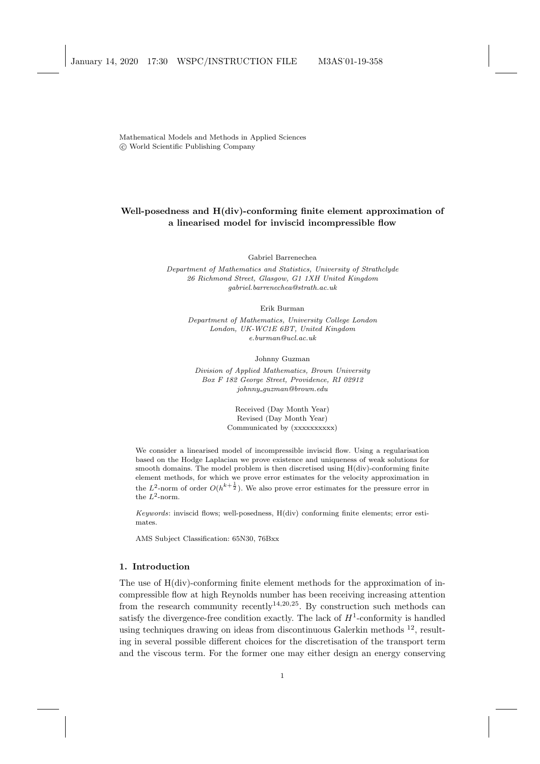Mathematical Models and Methods in Applied Sciences c World Scientific Publishing Company

# Well-posedness and H(div)-conforming finite element approximation of a linearised model for inviscid incompressible flow

Gabriel Barrenechea

Department of Mathematics and Statistics, University of Strathclyde 26 Richmond Street, Glasgow, G1 1XH United Kingdom gabriel.barrenechea@strath.ac.uk

Erik Burman

Department of Mathematics, University College London London, UK-WC1E 6BT, United Kingdom e.burman@ucl.ac.uk

Johnny Guzman

Division of Applied Mathematics, Brown University Box F 182 George Street, Providence, RI 02912  $johnny\_guzman@brown.edu$ 

> Received (Day Month Year) Revised (Day Month Year) Communicated by (xxxxxxxxxx)

We consider a linearised model of incompressible inviscid flow. Using a regularisation based on the Hodge Laplacian we prove existence and uniqueness of weak solutions for smooth domains. The model problem is then discretised using H(div)-conforming finite element methods, for which we prove error estimates for the velocity approximation in the  $L^2$ -norm of order  $O(h^{k+\frac{1}{2}})$ . We also prove error estimates for the pressure error in the  $L^2$ -norm.

Keywords: inviscid flows; well-posedness, H(div) conforming finite elements; error estimates.

AMS Subject Classification: 65N30, 76Bxx

## 1. Introduction

The use of H(div)-conforming finite element methods for the approximation of incompressible flow at high Reynolds number has been receiving increasing attention from the research community recently<sup>14,20,25</sup>. By construction such methods can satisfy the divergence-free condition exactly. The lack of  $H^1$ -conformity is handled using techniques drawing on ideas from discontinuous Galerkin methods <sup>12</sup>, resulting in several possible different choices for the discretisation of the transport term and the viscous term. For the former one may either design an energy conserving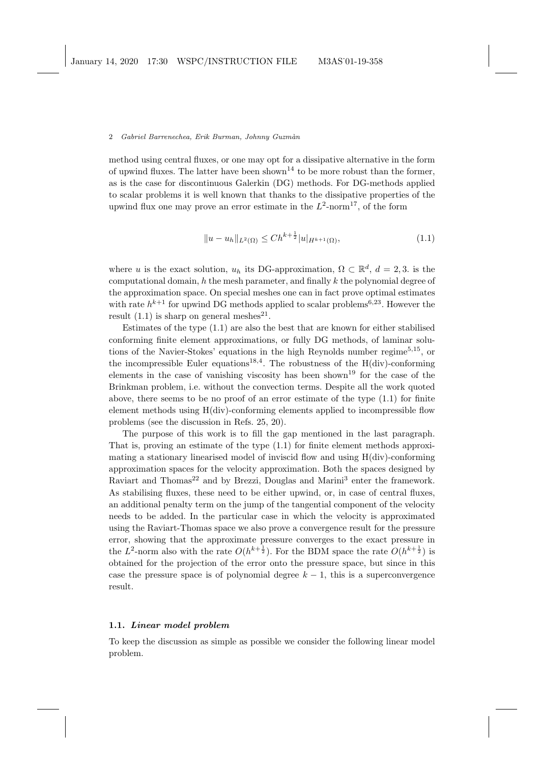method using central fluxes, or one may opt for a dissipative alternative in the form of upwind fluxes. The latter have been shown<sup>14</sup> to be more robust than the former, as is the case for discontinuous Galerkin (DG) methods. For DG-methods applied to scalar problems it is well known that thanks to the dissipative properties of the upwind flux one may prove an error estimate in the  $L^2$ -norm<sup>17</sup>, of the form

$$
||u - u_h||_{L^2(\Omega)} \le Ch^{k + \frac{1}{2}} |u|_{H^{k+1}(\Omega)},
$$
\n(1.1)

where u is the exact solution,  $u_h$  its DG-approximation,  $\Omega \subset \mathbb{R}^d$ ,  $d = 2, 3$ . is the computational domain,  $h$  the mesh parameter, and finally  $k$  the polynomial degree of the approximation space. On special meshes one can in fact prove optimal estimates with rate  $h^{k+1}$  for upwind DG methods applied to scalar problems<sup>6,23</sup>. However the result  $(1.1)$  is sharp on general meshes<sup>21</sup>.

Estimates of the type (1.1) are also the best that are known for either stabilised conforming finite element approximations, or fully DG methods, of laminar solutions of the Navier-Stokes' equations in the high Reynolds number regime<sup>5,15</sup>, or the incompressible Euler equations<sup>18,4</sup>. The robustness of the  $H(div)$ -conforming elements in the case of vanishing viscosity has been shown<sup>19</sup> for the case of the Brinkman problem, i.e. without the convection terms. Despite all the work quoted above, there seems to be no proof of an error estimate of the type (1.1) for finite element methods using H(div)-conforming elements applied to incompressible flow problems (see the discussion in Refs. 25, 20).

The purpose of this work is to fill the gap mentioned in the last paragraph. That is, proving an estimate of the type (1.1) for finite element methods approximating a stationary linearised model of inviscid flow and using H(div)-conforming approximation spaces for the velocity approximation. Both the spaces designed by Raviart and Thomas<sup>22</sup> and by Brezzi, Douglas and Marini<sup>3</sup> enter the framework. As stabilising fluxes, these need to be either upwind, or, in case of central fluxes, an additional penalty term on the jump of the tangential component of the velocity needs to be added. In the particular case in which the velocity is approximated using the Raviart-Thomas space we also prove a convergence result for the pressure error, showing that the approximate pressure converges to the exact pressure in the L<sup>2</sup>-norm also with the rate  $O(h^{k+\frac{1}{2}})$ . For the BDM space the rate  $O(h^{k+\frac{1}{2}})$  is obtained for the projection of the error onto the pressure space, but since in this case the pressure space is of polynomial degree  $k - 1$ , this is a superconvergence result.

## 1.1. Linear model problem

To keep the discussion as simple as possible we consider the following linear model problem.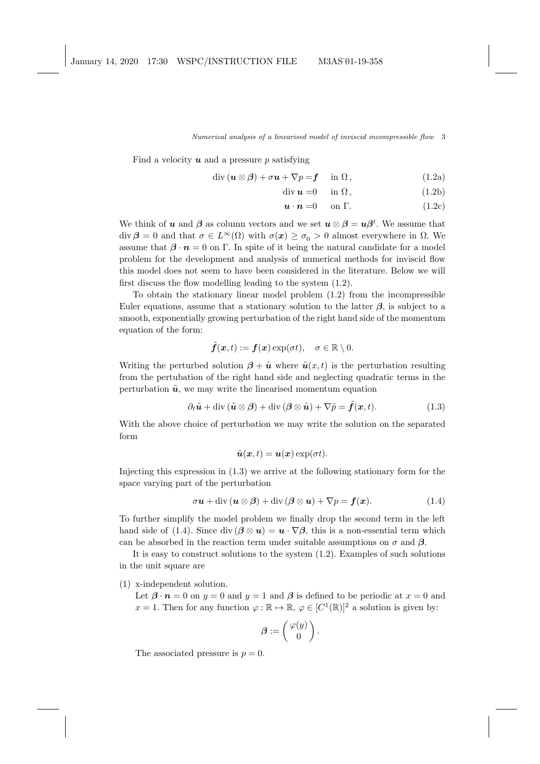Find a velocity  $u$  and a pressure p satisfying

$$
\operatorname{div} (\boldsymbol{u} \otimes \boldsymbol{\beta}) + \sigma \boldsymbol{u} + \nabla p = \boldsymbol{f} \quad \text{in } \Omega, \tag{1.2a}
$$

$$
\operatorname{div} \mathbf{u} = 0 \quad \text{in } \Omega, \tag{1.2b}
$$

$$
\mathbf{u} \cdot \mathbf{n} = 0 \quad \text{on } \Gamma. \tag{1.2c}
$$

We think of u and  $\beta$  as column vectors and we set  $u \otimes \beta = u\beta^t$ . We assume that div  $\beta = 0$  and that  $\sigma \in L^{\infty}(\Omega)$  with  $\sigma(x) \ge \sigma_0 > 0$  almost everywhere in  $\Omega$ . We assume that  $\beta \cdot n = 0$  on Γ. In spite of it being the natural candidate for a model problem for the development and analysis of numerical methods for inviscid flow this model does not seem to have been considered in the literature. Below we will first discuss the flow modelling leading to the system (1.2).

To obtain the stationary linear model problem (1.2) from the incompressible Euler equations, assume that a stationary solution to the latter  $\beta$ , is subject to a smooth, exponentially growing perturbation of the right hand side of the momentum equation of the form:

$$
\tilde{\bm{f}}(\bm{x},t) := \bm{f}(\bm{x}) \exp(\sigma t), \quad \sigma \in \mathbb{R} \setminus 0.
$$

Writing the perturbed solution  $\beta + \tilde{u}$  where  $\tilde{u}(x, t)$  is the perturbation resulting from the pertubation of the right hand side and neglecting quadratic terms in the perturbation  $\tilde{u}$ , we may write the linearised momentum equation

$$
\partial_t \tilde{\boldsymbol{u}} + \operatorname{div} (\tilde{\boldsymbol{u}} \otimes \boldsymbol{\beta}) + \operatorname{div} (\boldsymbol{\beta} \otimes \tilde{\boldsymbol{u}}) + \nabla \tilde{\boldsymbol{p}} = \tilde{\boldsymbol{f}}(\boldsymbol{x}, t). \tag{1.3}
$$

With the above choice of perturbation we may write the solution on the separated form

$$
\tilde{\boldsymbol{u}}(\boldsymbol{x},t) = \boldsymbol{u}(\boldsymbol{x}) \exp(\sigma t).
$$

Injecting this expression in (1.3) we arrive at the following stationary form for the space varying part of the perturbation

$$
\sigma u + \text{div} \left( u \otimes \beta \right) + \text{div} \left( \beta \otimes u \right) + \nabla p = f(x). \tag{1.4}
$$

To further simplify the model problem we finally drop the second term in the left hand side of (1.4). Since div  $(\beta \otimes u) = u \cdot \nabla \beta$ , this is a non-essential term which can be absorbed in the reaction term under suitable assumptions on  $\sigma$  and  $\beta$ .

It is easy to construct solutions to the system (1.2). Examples of such solutions in the unit square are

(1) x-independent solution.

Let  $\beta \cdot n = 0$  on  $y = 0$  and  $y = 1$  and  $\beta$  is defined to be periodic at  $x = 0$  and  $x = 1$ . Then for any function  $\varphi : \mathbb{R} \to \mathbb{R}$ ,  $\varphi \in [C^1(\mathbb{R})]^2$  a solution is given by:

$$
\boldsymbol{\beta}:=\left(\begin{array}{c} \varphi(y) \\ 0 \end{array}\right).
$$

The associated pressure is  $p = 0$ .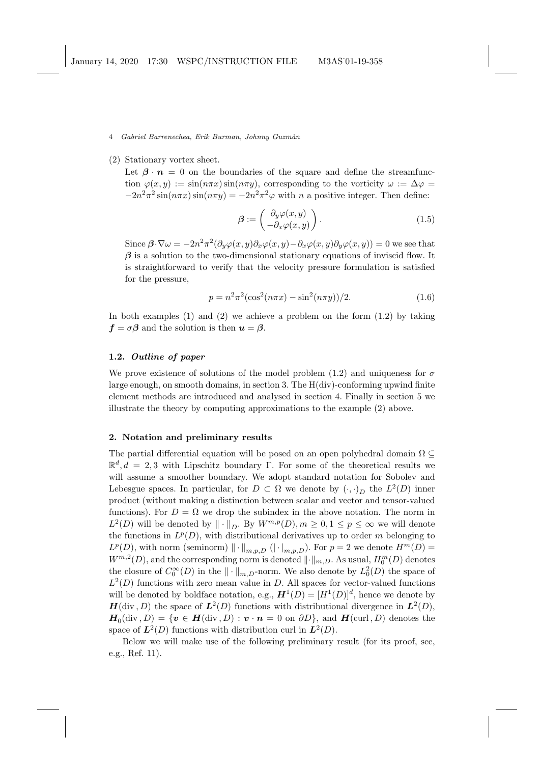## (2) Stationary vortex sheet.

Let  $\beta \cdot n = 0$  on the boundaries of the square and define the streamfunction  $\varphi(x, y) := \sin(n\pi x) \sin(n\pi y)$ , corresponding to the vorticity  $\omega := \Delta \varphi =$  $-2n^2\pi^2\sin(n\pi x)\sin(n\pi y) = -2n^2\pi^2\varphi$  with n a positive integer. Then define:

$$
\beta := \begin{pmatrix} \partial_y \varphi(x, y) \\ -\partial_x \varphi(x, y) \end{pmatrix} . \tag{1.5}
$$

Since  $\beta \cdot \nabla \omega = -2n^2 \pi^2 (\partial_y \varphi(x, y) \partial_x \varphi(x, y) - \partial_x \varphi(x, y) \partial_y \varphi(x, y)) = 0$  we see that  $\beta$  is a solution to the two-dimensional stationary equations of inviscid flow. It is straightforward to verify that the velocity pressure formulation is satisfied for the pressure,

$$
p = n^2 \pi^2 (\cos^2(n\pi x) - \sin^2(n\pi y))/2.
$$
 (1.6)

In both examples (1) and (2) we achieve a problem on the form  $(1.2)$  by taking  $f = \sigma \beta$  and the solution is then  $u = \beta$ .

## 1.2. Outline of paper

We prove existence of solutions of the model problem (1.2) and uniqueness for  $\sigma$ large enough, on smooth domains, in section 3. The H(div)-conforming upwind finite element methods are introduced and analysed in section 4. Finally in section 5 we illustrate the theory by computing approximations to the example (2) above.

## 2. Notation and preliminary results

The partial differential equation will be posed on an open polyhedral domain  $\Omega \subseteq$  $\mathbb{R}^d, d = 2, 3$  with Lipschitz boundary Γ. For some of the theoretical results we will assume a smoother boundary. We adopt standard notation for Sobolev and Lebesgue spaces. In particular, for  $D \subset \Omega$  we denote by  $(\cdot, \cdot)_D$  the  $L^2(D)$  inner product (without making a distinction between scalar and vector and tensor-valued functions). For  $D = \Omega$  we drop the subindex in the above notation. The norm in  $L^2(D)$  will be denoted by  $\|\cdot\|_D$ . By  $W^{m,p}(D), m \geq 0, 1 \leq p \leq \infty$  we will denote the functions in  $L^p(D)$ , with distributional derivatives up to order m belonging to  $L^p(D)$ , with norm (seminorm)  $\|\cdot\|_{m,p,D}$   $(|\cdot|_{m,p,D})$ . For  $p=2$  we denote  $H^m(D)$  $W^{m,2}(D)$ , and the corresponding norm is denoted  $\lVert \cdot \rVert_{m,D}$ . As usual,  $H_0^m(D)$  denotes the closure of  $C_0^{\infty}(D)$  in the  $\|\cdot\|_{m,D}$ -norm. We also denote by  $L_0^2(D)$  the space of  $L^2(D)$  functions with zero mean value in D. All spaces for vector-valued functions will be denoted by boldface notation, e.g.,  $\mathbf{H}^1(D) = [H^1(D)]^d$ , hence we denote by  $H(\text{div}, D)$  the space of  $L^2(D)$  functions with distributional divergence in  $L^2(D)$ ,  $H_0(\text{div}, D) = \{v \in H(\text{div}, D) : v \cdot n = 0 \text{ on } \partial D\}$ , and  $H(\text{curl}, D)$  denotes the space of  $L^2(D)$  functions with distribution curl in  $L^2(D)$ .

Below we will make use of the following preliminary result (for its proof, see, e.g., Ref. 11).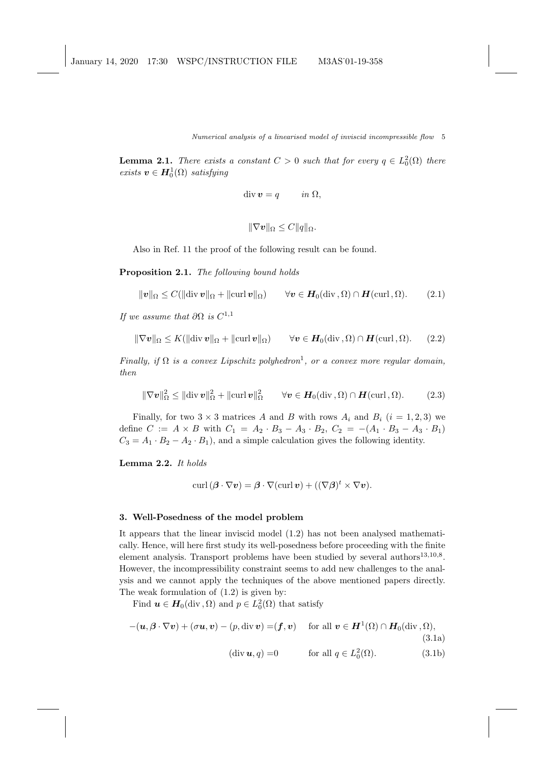**Lemma 2.1.** There exists a constant  $C > 0$  such that for every  $q \in L_0^2(\Omega)$  there exists  $\boldsymbol{v} \in \boldsymbol{H}^1_0(\Omega)$  satisfying

$$
\operatorname{div} \boldsymbol{v} = q \qquad in \ \Omega,
$$

$$
\|\nabla v\|_{\Omega}\leq C\|q\|_{\Omega}.
$$

Also in Ref. 11 the proof of the following result can be found.

Proposition 2.1. The following bound holds

$$
\|\mathbf{v}\|_{\Omega} \leq C(\|\text{div}\,\mathbf{v}\|_{\Omega} + \|\text{curl}\,\mathbf{v}\|_{\Omega}) \qquad \forall \mathbf{v} \in \mathbf{H}_0(\text{div}\, , \Omega) \cap \mathbf{H}(\text{curl}\, , \Omega).
$$
 (2.1)

If we assume that  $\partial\Omega$  is  $C^{1,1}$ 

$$
\|\nabla \mathbf{v}\|_{\Omega} \leq K(\|\text{div}\,\mathbf{v}\|_{\Omega} + \|\text{curl}\,\mathbf{v}\|_{\Omega}) \qquad \forall \mathbf{v} \in \mathbf{H}_0(\text{div}\, , \Omega) \cap \mathbf{H}(\text{curl}\, , \Omega). \tag{2.2}
$$

Finally, if  $\Omega$  is a convex Lipschitz polyhedron<sup>1</sup>, or a convex more regular domain, then

$$
\|\nabla \mathbf{v}\|_{\Omega}^2 \le \|\text{div}\,\mathbf{v}\|_{\Omega}^2 + \|\text{curl}\,\mathbf{v}\|_{\Omega}^2 \qquad \forall \mathbf{v} \in \boldsymbol{H}_0(\text{div}\,, \Omega) \cap \boldsymbol{H}(\text{curl}\,, \Omega). \tag{2.3}
$$

Finally, for two  $3 \times 3$  matrices A and B with rows  $A_i$  and  $B_i$   $(i = 1, 2, 3)$  we define  $C := A \times B$  with  $C_1 = A_2 \cdot B_3 - A_3 \cdot B_2$ ,  $C_2 = -(A_1 \cdot B_3 - A_3 \cdot B_1)$  $C_3 = A_1 \cdot B_2 - A_2 \cdot B_1$ , and a simple calculation gives the following identity.

Lemma 2.2. It holds

$$
\operatorname{curl}\left(\boldsymbol{\beta}\cdot\nabla\boldsymbol{v}\right) = \boldsymbol{\beta}\cdot\nabla(\operatorname{curl}\boldsymbol{v}) + \left((\nabla\boldsymbol{\beta})^t\times\nabla\boldsymbol{v}\right).
$$

### 3. Well-Posedness of the model problem

It appears that the linear inviscid model (1.2) has not been analysed mathematically. Hence, will here first study its well-posedness before proceeding with the finite element analysis. Transport problems have been studied by several authors<sup>13,10,8</sup>. However, the incompressibility constraint seems to add new challenges to the analysis and we cannot apply the techniques of the above mentioned papers directly. The weak formulation of (1.2) is given by:

Find  $u \in H_0(\text{div}, \Omega)$  and  $p \in L_0^2(\Omega)$  that satisfy

$$
-(\boldsymbol{u},\boldsymbol{\beta}\cdot\nabla\boldsymbol{v})+(\sigma\boldsymbol{u},\boldsymbol{v})-(p,\operatorname{div}\boldsymbol{v})=(\boldsymbol{f},\boldsymbol{v})\quad\text{ for all }\boldsymbol{v}\in\boldsymbol{H}^1(\Omega)\cap\boldsymbol{H}_0(\operatorname{div},\Omega),\tag{3.1a}
$$

$$
(\text{div } u, q) = 0 \qquad \text{for all } q \in L_0^2(\Omega). \tag{3.1b}
$$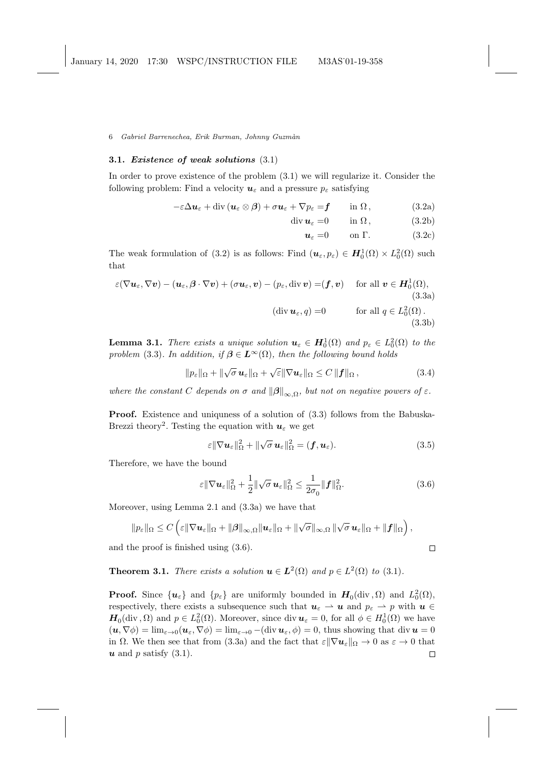## 3.1. Existence of weak solutions (3.1)

In order to prove existence of the problem (3.1) we will regularize it. Consider the following problem: Find a velocity  $u_{\varepsilon}$  and a pressure  $p_{\varepsilon}$  satisfying

> $-\varepsilon \Delta u_{\varepsilon} + \text{div} (u_{\varepsilon} \otimes \beta) + \sigma u_{\varepsilon} + \nabla p_{\varepsilon} = f \quad \text{in } \Omega,$  (3.2a)  $+\nabla p_{\varepsilon} = f$  in  $\Omega$ , (3.2a)<br>div  $u_{\varepsilon} = 0$  in  $\Omega$ , (3.2b)

 $u_{\varepsilon} = 0$  on  $\Gamma$ . (3.2c)

The weak formulation of (3.2) is as follows: Find  $(\boldsymbol{u}_{\varepsilon}, p_{\varepsilon}) \in \boldsymbol{H}_0^1(\Omega) \times L_0^2(\Omega)$  such that

$$
\varepsilon(\nabla \mathbf{u}_{\varepsilon}, \nabla \mathbf{v}) - (\mathbf{u}_{\varepsilon}, \boldsymbol{\beta} \cdot \nabla \mathbf{v}) + (\sigma \mathbf{u}_{\varepsilon}, \mathbf{v}) - (p_{\varepsilon}, \text{div } \mathbf{v}) = (\mathbf{f}, \mathbf{v}) \quad \text{for all } \mathbf{v} \in \mathbf{H}_{0}^{1}(\Omega),
$$
\n(3.3a)\n
$$
(\text{div } \mathbf{u}_{\varepsilon}, q) = 0 \quad \text{for all } q \in L_{0}^{2}(\Omega).
$$
\n(3.3b)

**Lemma 3.1.** There exists a unique solution  $u_{\varepsilon} \in H_0^1(\Omega)$  and  $p_{\varepsilon} \in L_0^2(\Omega)$  to the problem (3.3). In addition, if  $\beta \in L^{\infty}(\Omega)$ , then the following bound holds

 $\|p_{\varepsilon}\|_{\Omega} + \|\sqrt{\sigma}\,\mathbf{u}_{\varepsilon}\|_{\Omega} + \sqrt{\varepsilon}\|\nabla\mathbf{u}_{\varepsilon}\|_{\Omega} \leq C\,\|\mathbf{f}\|_{\Omega},$  (3.4)

where the constant C depends on  $\sigma$  and  $\|\boldsymbol{\beta}\|_{\infty,\Omega}$ , but not on negative powers of  $\varepsilon$ .

Proof. Existence and uniquness of a solution of (3.3) follows from the Babuska-Brezzi theory<sup>2</sup>. Testing the equation with  $u_{\varepsilon}$  we get

$$
\varepsilon \|\nabla \boldsymbol{u}_{\varepsilon}\|_{\Omega}^{2} + \|\sqrt{\sigma} \,\boldsymbol{u}_{\varepsilon}\|_{\Omega}^{2} = (\boldsymbol{f}, \boldsymbol{u}_{\varepsilon}). \tag{3.5}
$$

Therefore, we have the bound

$$
\varepsilon \|\nabla \boldsymbol{u}_{\varepsilon}\|_{\Omega}^2 + \frac{1}{2} \|\sqrt{\sigma} \,\boldsymbol{u}_{\varepsilon}\|_{\Omega}^2 \le \frac{1}{2\sigma_0} \|\boldsymbol{f}\|_{\Omega}^2. \tag{3.6}
$$

Moreover, using Lemma 2.1 and (3.3a) we have that

$$
||p_{\varepsilon}||_{\Omega} \leq C \left( \varepsilon ||\nabla u_{\varepsilon}||_{\Omega} + ||\beta||_{\infty,\Omega} ||u_{\varepsilon}||_{\Omega} + ||\sqrt{\sigma}||_{\infty,\Omega} ||\sqrt{\sigma} u_{\varepsilon}||_{\Omega} + ||f||_{\Omega} \right),
$$
  
the proof is finished using (3.6).

and the proof is finished using (3.6).

**Theorem 3.1.** There exists a solution  $u \in L^2(\Omega)$  and  $p \in L^2(\Omega)$  to (3.1).

**Proof.** Since  $\{u_{\varepsilon}\}\$ and  $\{p_{\varepsilon}\}\$ are uniformly bounded in  $H_0(\text{div}, \Omega)$  and  $L_0^2(\Omega)$ , respectively, there exists a subsequence such that  $u_{\varepsilon} \to u$  and  $p_{\varepsilon} \to p$  with  $u \in$  $H_0(\text{div}, \Omega)$  and  $p \in L_0^2(\Omega)$ . Moreover, since div  $u_{\varepsilon} = 0$ , for all  $\phi \in H_0^1(\Omega)$  we have  $(\mathbf{u}, \nabla \phi) = \lim_{\varepsilon \to 0} (\mathbf{u}_{\varepsilon}, \nabla \phi) = \lim_{\varepsilon \to 0} -(\text{div } \mathbf{u}_{\varepsilon}, \phi) = 0$ , thus showing that div  $\mathbf{u} = 0$ in  $\Omega$ . We then see that from (3.3a) and the fact that  $\varepsilon \|\nabla u_{\varepsilon}\|_{\Omega} \to 0$  as  $\varepsilon \to 0$  that  $u$  and p satisfy  $(3.1)$ .  $\Box$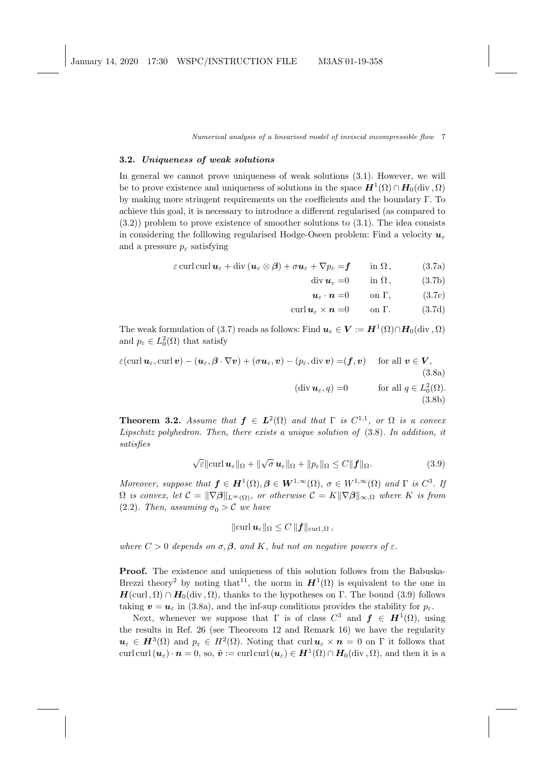### 3.2. Uniqueness of weak solutions

In general we cannot prove uniqueness of weak solutions (3.1). However, we will be to prove existence and uniqueness of solutions in the space  $\bm{H}^1(\Omega) \cap \bm{H}_0(\text{div}, \Omega)$ by making more stringent requirements on the coefficients and the boundary Γ. To achieve this goal, it is necessary to introduce a different regularised (as compared to (3.2)) problem to prove existence of smoother solutions to (3.1). The idea consists in considering the following regularised Hodge-Oseen problem: Find a velocity  $u_{\varepsilon}$ and a pressure  $p_{\varepsilon}$  satisfying

$$
\varepsilon \operatorname{curl} \operatorname{curl} \boldsymbol{u}_{\varepsilon} + \operatorname{div} (\boldsymbol{u}_{\varepsilon} \otimes \boldsymbol{\beta}) + \sigma \boldsymbol{u}_{\varepsilon} + \nabla p_{\varepsilon} = \boldsymbol{f} \qquad \text{in } \Omega , \tag{3.7a}
$$

$$
\operatorname{div} \boldsymbol{u}_{\varepsilon} = 0 \qquad \text{in } \Omega, \tag{3.7b}
$$

$$
\boldsymbol{u}_{\varepsilon} \cdot \boldsymbol{n} = 0 \qquad \text{on } \Gamma, \tag{3.7c}
$$

$$
\operatorname{curl} \boldsymbol{u}_{\varepsilon} \times \boldsymbol{n} = 0 \qquad \text{on } \Gamma. \tag{3.7d}
$$

The weak formulation of (3.7) reads as follows: Find  $u_\varepsilon \in V := H^1(\Omega) \cap H_0(\text{div}, \Omega)$ and  $p_{\varepsilon} \in L_0^2(\Omega)$  that satisfy

$$
\varepsilon(\operatorname{curl} \boldsymbol{u}_{\varepsilon}, \operatorname{curl} \boldsymbol{v}) - (\boldsymbol{u}_{\varepsilon}, \boldsymbol{\beta} \cdot \nabla \boldsymbol{v}) + (\sigma \boldsymbol{u}_{\varepsilon}, \boldsymbol{v}) - (p_{\varepsilon}, \operatorname{div} \boldsymbol{v}) = (\boldsymbol{f}, \boldsymbol{v}) \quad \text{ for all } \boldsymbol{v} \in \boldsymbol{V},
$$
\n(3.8a)\n
$$
(\operatorname{div} \boldsymbol{u}_{\varepsilon}, q) = 0 \quad \text{ for all } q \in L_0^2(\Omega).
$$
\n(3.8b)

**Theorem 3.2.** Assume that  $f \in L^2(\Omega)$  and that  $\Gamma$  is  $C^{1,1}$ , or  $\Omega$  is a convex Lipschitz polyhedron. Then, there exists a unique solution of (3.8). In addition, it satisfies

$$
\sqrt{\varepsilon} \|\operatorname{curl} \boldsymbol{u}_{\varepsilon}\|_{\Omega} + \|\sqrt{\sigma} \boldsymbol{u}_{\varepsilon}\|_{\Omega} + \|p_{\varepsilon}\|_{\Omega} \le C \|\boldsymbol{f}\|_{\Omega}.
$$
 (3.9)

Moreover, suppose that  $f \in H^1(\Omega), \beta \in W^{1,\infty}(\Omega)$ ,  $\sigma \in W^{1,\infty}(\Omega)$  and  $\Gamma$  is  $C^3$ . If  $\Omega$  is convex, let  $\mathcal{C} = \|\nabla \beta\|_{L^{\infty}(\Omega)}$ , or otherwise  $\mathcal{C} = K\|\nabla \beta\|_{\infty,\Omega}$  where K is from (2.2). Then, assuming  $\sigma_0 > C$  we have

$$
\|\mathrm{curl}\,\bm{u}_\varepsilon\|_\Omega\leq C\,\|\bm{f}\|_{\mathrm{curl}\,,\Omega}\,,
$$

where  $C > 0$  depends on  $\sigma$ ,  $\beta$ , and K, but not on negative powers of  $\varepsilon$ .

Proof. The existence and uniqueness of this solution follows from the Babuska-Brezzi theory<sup>2</sup> by noting that<sup>11</sup>, the norm in  $H^1(\Omega)$  is equivalent to the one in  $H(\text{curl}, \Omega) \cap H_0(\text{div}, \Omega)$ , thanks to the hypotheses on Γ. The bound (3.9) follows taking  $v = u_{\varepsilon}$  in (3.8a), and the inf-sup conditions provides the stability for  $p_{\varepsilon}$ .

Next, whenever we suppose that  $\Gamma$  is of class  $C^3$  and  $f \in H^1(\Omega)$ , using the results in Ref. 26 (see Theoreom 12 and Remark 16) we have the regularity  $u_{\varepsilon} \in H^3(\Omega)$  and  $p_{\varepsilon} \in H^2(\Omega)$ . Noting that curl  $u_{\varepsilon} \times n = 0$  on  $\Gamma$  it follows that curl curl  $(u_\varepsilon)\cdot n=0$ , so,  $\tilde{\bm{v}}:=$  curl curl  $(u_\varepsilon)\in H^1(\Omega)\cap H_0(\mathrm{div}\, , \Omega)$ , and then it is a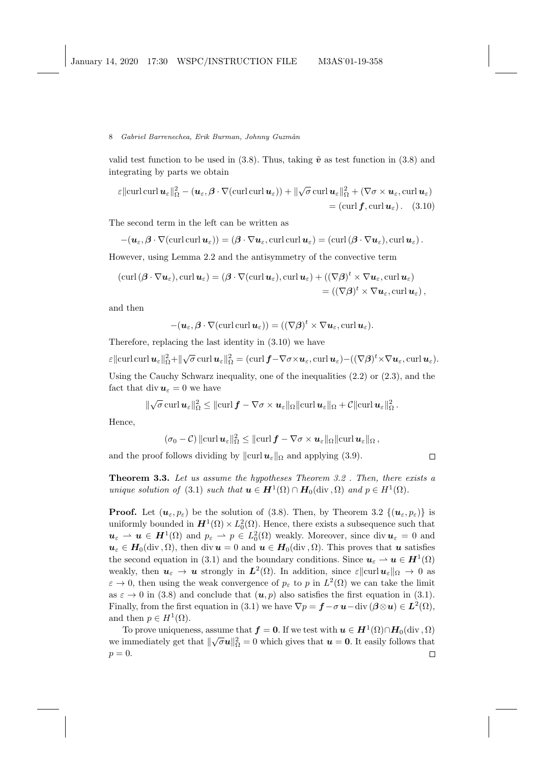valid test function to be used in  $(3.8)$ . Thus, taking  $\tilde{v}$  as test function in  $(3.8)$  and integrating by parts we obtain

 $\varepsilon \|{\rm curl}\, {\rm curl}\, {\bm u}_\varepsilon\|_\Omega^2 - ({\bm u}_\varepsilon, \boldsymbol \beta \cdot \nabla ({\rm curl}\, {\rm curl}\, {\bm u}_\varepsilon)) + \| \sqrt{\sigma} \, {\rm curl}\, {\bm u}_\varepsilon\|_\Omega^2 + (\nabla \sigma \times {\bm u}_\varepsilon, {\rm curl}\, {\bm u}_\varepsilon)$  $=$  (curl  $f$ , curl  $u<sub>\varepsilon</sub>$ ). (3.10)

The second term in the left can be written as

 $-(u_{\varepsilon}, \beta \cdot \nabla(\text{curl curl } u_{\varepsilon})) = (\beta \cdot \nabla u_{\varepsilon}, \text{curl curl } u_{\varepsilon}) = (\text{curl }(\beta \cdot \nabla u_{\varepsilon}), \text{curl } u_{\varepsilon}).$ However, using Lemma 2.2 and the antisymmetry of the convective term

$$
(\operatorname{curl} (\boldsymbol{\beta} \cdot \nabla \boldsymbol{u}_{\varepsilon}), \operatorname{curl} \boldsymbol{u}_{\varepsilon}) = (\boldsymbol{\beta} \cdot \nabla (\operatorname{curl} \boldsymbol{u}_{\varepsilon}), \operatorname{curl} \boldsymbol{u}_{\varepsilon}) + ((\nabla \boldsymbol{\beta})^t \times \nabla \boldsymbol{u}_{\varepsilon}, \operatorname{curl} \boldsymbol{u}_{\varepsilon})
$$
  
= ((\nabla \boldsymbol{\beta})^t \times \nabla \boldsymbol{u}\_{\varepsilon}, \operatorname{curl} \boldsymbol{u}\_{\varepsilon}),

and then

$$
-(\boldsymbol{u}_{\varepsilon},\boldsymbol{\beta}\cdot\nabla(\operatorname{curl}\operatorname{curl}\boldsymbol{u}_{\varepsilon}))=((\nabla\boldsymbol{\beta})^t\times\nabla\boldsymbol{u}_{\varepsilon},\operatorname{curl}\boldsymbol{u}_{\varepsilon}).
$$

Therefore, replacing the last identity in (3.10) we have

 $\varepsilon \|{\rm curl\,} {\rm curl\,} {\boldsymbol u}_\varepsilon\|_\Omega^2 + \|\sqrt{\sigma}\,{\rm curl\,} {\boldsymbol u}_\varepsilon\|_\Omega^2 = ({\rm curl\,} {\boldsymbol f} \!-\! \nabla \sigma \!\times\! {\boldsymbol u}_\varepsilon, {\rm curl\,} {\boldsymbol u}_\varepsilon) - ((\nabla \boldsymbol \beta)^t \!\times\! \nabla {\boldsymbol u}_\varepsilon, {\rm curl\,} {\boldsymbol u}_\varepsilon).$ Using the Cauchy Schwarz inequality, one of the inequalities  $(2.2)$  or  $(2.3)$ , and the fact that div  $u_{\varepsilon} = 0$  we have

$$
\|\sqrt{\sigma} \operatorname{curl} \boldsymbol{u}_{\varepsilon}\|_{\Omega}^2 \leq \|\operatorname{curl} \boldsymbol{f} - \nabla \sigma \times \boldsymbol{u}_{\varepsilon}\|_{\Omega} \|\operatorname{curl} \boldsymbol{u}_{\varepsilon}\|_{\Omega} + \mathcal{C} \|\operatorname{curl} \boldsymbol{u}_{\varepsilon}\|_{\Omega}^2 \,.
$$

Hence,

$$
(\sigma_0-\mathcal{C})\|\mathrm{curl}\,\boldsymbol{u}_{\varepsilon}\|_{\Omega}^2\leq\|\mathrm{curl}\,\boldsymbol{f}-\nabla\sigma\times\boldsymbol{u}_{\varepsilon}\|_{\Omega}\|\mathrm{curl}\,\boldsymbol{u}_{\varepsilon}\|_{\Omega}\,,
$$

and the proof follows dividing by  $\Vert \text{curl} \, \boldsymbol{u}_{\varepsilon} \Vert_{\Omega}$  and applying (3.9).

 $\Box$ 

Theorem 3.3. Let us assume the hypotheses Theorem 3.2 . Then, there exists a unique solution of (3.1) such that  $u \in H^1(\Omega) \cap H_0(\text{div}, \Omega)$  and  $p \in H^1(\Omega)$ .

**Proof.** Let  $(u_{\varepsilon}, p_{\varepsilon})$  be the solution of (3.8). Then, by Theorem 3.2  $\{(u_{\varepsilon}, p_{\varepsilon})\}$  is uniformly bounded in  $H^1(\Omega) \times L_0^2(\Omega)$ . Hence, there exists a subsequence such that  $u_{\varepsilon} \rightharpoonup u \in H^1(\Omega)$  and  $p_{\varepsilon} \rightharpoonup p \in L^2_0(\Omega)$  weakly. Moreover, since div  $u_{\varepsilon} = 0$  and  $u_{\varepsilon} \in H_0(\text{div}, \Omega)$ , then div  $u = 0$  and  $u \in H_0(\text{div}, \Omega)$ . This proves that u satisfies the second equation in (3.1) and the boundary conditions. Since  $u_{\varepsilon} \to u \in H^1(\Omega)$ weakly, then  $u_{\varepsilon} \to u$  strongly in  $L^2(\Omega)$ . In addition, since  $\varepsilon || \text{curl } u_{\varepsilon} ||_{\Omega} \to 0$  as  $\varepsilon \to 0$ , then using the weak convergence of  $p_{\varepsilon}$  to p in  $L^2(\Omega)$  we can take the limit as  $\varepsilon \to 0$  in (3.8) and conclude that  $(u, p)$  also satisfies the first equation in (3.1). Finally, from the first equation in (3.1) we have  $\nabla p = \boldsymbol{f} - \sigma \boldsymbol{u} - \text{div} (\boldsymbol{\beta} \otimes \boldsymbol{u}) \in L^2(\Omega)$ , and then  $p \in H^1(\Omega)$ .

To prove uniqueness, assume that  $f = 0$ . If we test with  $u \in H^1(\Omega) \cap H_0(\text{div}, \Omega)$ we immediately get that  $\|\sqrt{\sigma}u\|_{\Omega}^2 = 0$  which gives that  $u = 0$ . It easily follows that  $p=0.$  $\Box$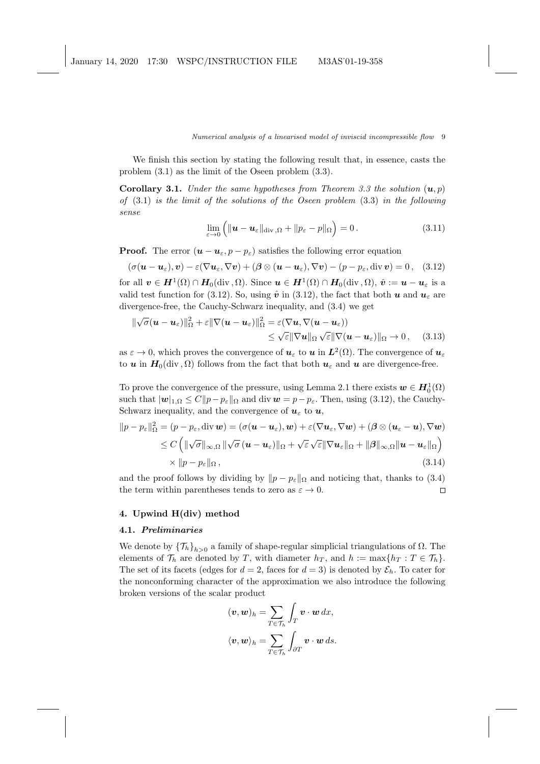We finish this section by stating the following result that, in essence, casts the problem (3.1) as the limit of the Oseen problem (3.3).

**Corollary 3.1.** Under the same hypotheses from Theorem 3.3 the solution  $(u, p)$ of  $(3.1)$  is the limit of the solutions of the Oseen problem  $(3.3)$  in the following sense

$$
\lim_{\varepsilon \to 0} \left( \| \boldsymbol{u} - \boldsymbol{u}_{\varepsilon} \|_{\text{div},\Omega} + \| p_{\varepsilon} - p \|_{\Omega} \right) = 0. \tag{3.11}
$$

**Proof.** The error  $(\mathbf{u} - \mathbf{u}_{\varepsilon}, p - p_{\varepsilon})$  satisfies the following error equation

 $(\sigma(\boldsymbol{u}-\boldsymbol{u}_{\varepsilon}), \boldsymbol{v}) - \varepsilon(\nabla \boldsymbol{u}_{\varepsilon}, \nabla \boldsymbol{v}) + (\boldsymbol{\beta} \otimes (\boldsymbol{u}-\boldsymbol{u}_{\varepsilon}), \nabla \boldsymbol{v}) - (\boldsymbol{p}-\boldsymbol{p}_{\varepsilon}, \text{div} \boldsymbol{v}) = 0$ , (3.12) for all  $\boldsymbol{v} \in \boldsymbol{H}^1(\Omega) \cap \boldsymbol{H}_0(\text{div}, \Omega)$ . Since  $\boldsymbol{u} \in \boldsymbol{H}^1(\Omega) \cap \boldsymbol{H}_0(\text{div}, \Omega)$ ,  $\hat{\boldsymbol{v}} := \boldsymbol{u} - \boldsymbol{u}_{\varepsilon}$  is a valid test function for (3.12). So, using  $\hat{v}$  in (3.12), the fact that both u and  $u_{\varepsilon}$  are divergence-free, the Cauchy-Schwarz inequality, and (3.4) we get

$$
\begin{aligned} \|\sqrt{\sigma}(\boldsymbol{u}-\boldsymbol{u}_{\varepsilon})\|_{\Omega}^2 + \varepsilon \|\nabla(\boldsymbol{u}-\boldsymbol{u}_{\varepsilon})\|_{\Omega}^2 &= \varepsilon(\nabla \boldsymbol{u}, \nabla(\boldsymbol{u}-\boldsymbol{u}_{\varepsilon})) \\ &\leq \sqrt{\varepsilon} \|\nabla \boldsymbol{u}\|_{\Omega} \sqrt{\varepsilon} \|\nabla(\boldsymbol{u}-\boldsymbol{u}_{\varepsilon})\|_{\Omega} \to 0 \,, \end{aligned} \tag{3.13}
$$

as  $\varepsilon \to 0$ , which proves the convergence of  $u_{\varepsilon}$  to  $u$  in  $L^2(\Omega)$ . The convergence of  $u_{\varepsilon}$ to u in  $H_0(\text{div}, \Omega)$  follows from the fact that both  $u_{\varepsilon}$  and u are divergence-free.

To prove the convergence of the pressure, using Lemma 2.1 there exists  $w \in H_0^1(\Omega)$ such that  $|\mathbf{w}|_{1,\Omega} \leq C ||p - p_{\varepsilon}||_{\Omega}$  and div  $\mathbf{w} = p - p_{\varepsilon}$ . Then, using (3.12), the Cauchy-Schwarz inequality, and the convergence of  $u_{\varepsilon}$  to  $u$ ,

$$
||p - p_{\varepsilon}||_{\Omega}^{2} = (p - p_{\varepsilon}, \text{div } \boldsymbol{w}) = (\sigma(\boldsymbol{u} - \boldsymbol{u}_{\varepsilon}), \boldsymbol{w}) + \varepsilon(\nabla \boldsymbol{u}_{\varepsilon}, \nabla \boldsymbol{w}) + (\beta \otimes (\boldsymbol{u}_{\varepsilon} - \boldsymbol{u}), \nabla \boldsymbol{w})
$$
  
\n
$$
\leq C \left( ||\sqrt{\sigma}||_{\infty, \Omega} ||\sqrt{\sigma} (\boldsymbol{u} - \boldsymbol{u}_{\varepsilon})||_{\Omega} + \sqrt{\varepsilon} \sqrt{\varepsilon} ||\nabla \boldsymbol{u}_{\varepsilon}||_{\Omega} + ||\beta||_{\infty, \Omega} ||\boldsymbol{u} - \boldsymbol{u}_{\varepsilon}||_{\Omega} \right)
$$
  
\n
$$
\times ||p - p_{\varepsilon}||_{\Omega}, \qquad (3.14)
$$

and the proof follows by dividing by  $||p - p_{\varepsilon}||_{\Omega}$  and noticing that, thanks to (3.4) the term within parentheses tends to zero as  $\varepsilon \to 0$ .  $\Box$ 

## 4. Upwind H(div) method

## 4.1. Preliminaries

We denote by  $\{\mathcal{T}_h\}_{h>0}$  a family of shape-regular simplicial triangulations of  $\Omega$ . The elements of  $\mathcal{T}_h$  are denoted by T, with diameter  $h_T$ , and  $h := \max\{h_T : T \in \mathcal{T}_h\}.$ The set of its facets (edges for  $d = 2$ , faces for  $d = 3$ ) is denoted by  $\mathcal{E}_h$ . To cater for the nonconforming character of the approximation we also introduce the following broken versions of the scalar product

$$
(\mathbf{v}, \mathbf{w})_h = \sum_{T \in \mathcal{T}_h} \int_T \mathbf{v} \cdot \mathbf{w} \, dx,
$$
  

$$
\langle \mathbf{v}, \mathbf{w} \rangle_h = \sum_{T \in \mathcal{T}_h} \int_{\partial T} \mathbf{v} \cdot \mathbf{w} \, ds.
$$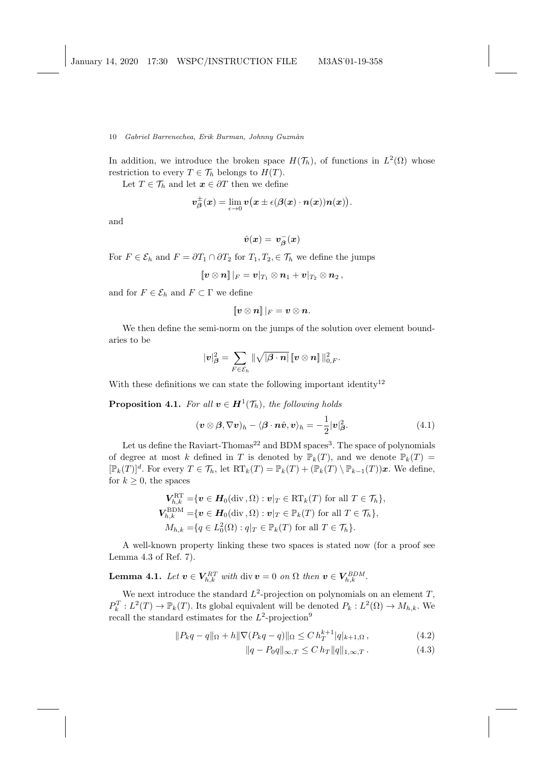In addition, we introduce the broken space  $H(\mathcal{T}_h)$ , of functions in  $L^2(\Omega)$  whose restriction to every  $T \in \mathcal{T}_h$  belongs to  $H(T)$ .

Let  $T \in \mathcal{T}_h$  and let  $\mathbf{x} \in \partial T$  then we define

$$
\boldsymbol{v}^{\pm}_{\boldsymbol{\beta}}(\boldsymbol{x})=\lim_{\epsilon\rightarrow 0}\boldsymbol{v}\big(\boldsymbol{x}\pm\epsilon(\boldsymbol{\beta}(\boldsymbol{x})\cdot\boldsymbol{n}(\boldsymbol{x}))\boldsymbol{n}(\boldsymbol{x})\big).
$$

and

$$
\hat{\boldsymbol{v}}(\boldsymbol{x}) = \boldsymbol{v}_{\boldsymbol{\beta}}^-(\boldsymbol{x})
$$

For  $F \in \mathcal{E}_h$  and  $F = \partial T_1 \cap \partial T_2$  for  $T_1, T_2, \in \mathcal{T}_h$  we define the jumps

$$
\llbracket \boldsymbol{v}\otimes\boldsymbol{n} \rrbracket\, |_{F} = \boldsymbol{v}|_{T_1}\otimes\boldsymbol{n}_1 + \boldsymbol{v}|_{T_2}\otimes\boldsymbol{n}_2\,,
$$

and for  $F \in \mathcal{E}_h$  and  $F \subset \Gamma$  we define

$$
\llbracket \boldsymbol{v} \otimes \boldsymbol{n} \rrbracket \, |_F = \boldsymbol{v} \otimes \boldsymbol{n}.
$$

We then define the semi-norm on the jumps of the solution over element boundaries to be

$$
|\boldsymbol{v}|^2_{\boldsymbol{\beta}} = \sum_{F \in \mathcal{E}_h} \| \sqrt{|\boldsymbol{\beta} \cdot \boldsymbol{n}|} \, \llbracket \boldsymbol{v} \otimes \boldsymbol{n} \rrbracket \, \|_{0,F}^2.
$$

With these definitions we can state the following important identity<sup>12</sup>

**Proposition 4.1.** For all  $v \in H^1(\mathcal{T}_h)$ , the following holds

$$
(\boldsymbol{v} \otimes \boldsymbol{\beta}, \nabla \boldsymbol{v})_h - \langle \boldsymbol{\beta} \cdot \boldsymbol{n} \hat{\boldsymbol{v}}, \boldsymbol{v} \rangle_h = -\frac{1}{2} |\boldsymbol{v}|^2_{\boldsymbol{\beta}}.
$$
 (4.1)

Let us define the Raviart-Thomas<sup>22</sup> and BDM spaces<sup>3</sup>. The space of polynomials of degree at most k defined in T is denoted by  $\mathbb{P}_k(T)$ , and we denote  $\mathbb{P}_k(T)$  =  $[\mathbb{P}_k(T)]^d$ . For every  $T \in \mathcal{T}_h$ , let  $RT_k(T) = \mathbb{P}_k(T) + (\mathbb{P}_k(T) \setminus \mathbb{P}_{k-1}(T))\mathbf{x}$ . We define, for  $k \geq 0$ , the spaces

$$
\begin{aligned}\n\boldsymbol{V}_{h,k}^{\text{RT}} &= \{ \boldsymbol{v} \in \boldsymbol{H}_0(\text{div}\, , \Omega) : \boldsymbol{v}|_T \in \text{RT}_k(T) \text{ for all } T \in \mathcal{T}_h \}, \\
\boldsymbol{V}_{h,k}^{\text{BDM}} &= \{ \boldsymbol{v} \in \boldsymbol{H}_0(\text{div}\, , \Omega) : \boldsymbol{v}|_T \in \mathbb{P}_k(T) \text{ for all } T \in \mathcal{T}_h \}, \\
M_{h,k} &= \{ q \in L_0^2(\Omega) : q|_T \in \mathbb{P}_k(T) \text{ for all } T \in \mathcal{T}_h \}.\n\end{aligned}
$$

A well-known property linking these two spaces is stated now (for a proof see Lemma 4.3 of Ref. 7).

**Lemma 4.1.** Let  $\mathbf{v} \in \mathbf{V}_{h,k}^{RT}$  with div  $\mathbf{v} = 0$  on  $\Omega$  then  $\mathbf{v} \in \mathbf{V}_{h,k}^{BDM}$ .

We next introduce the standard  $L^2$ -projection on polynomials on an element  $T$ ,  $P_k^T: L^2(T) \to \mathbb{P}_k(T)$ . Its global equivalent will be denoted  $P_k: L^2(\Omega) \to M_{h,k}$ . We recall the standard estimates for the  $L^2$ -projection<sup>9</sup>

$$
||P_k q - q||_{\Omega} + h||\nabla (P_k q - q)||_{\Omega} \le C h_T^{k+1} |q|_{k+1,\Omega}, \qquad (4.2)
$$

$$
||q - P_0 q||_{\infty, T} \le C h_T ||q||_{1, \infty, T}.
$$
 (4.3)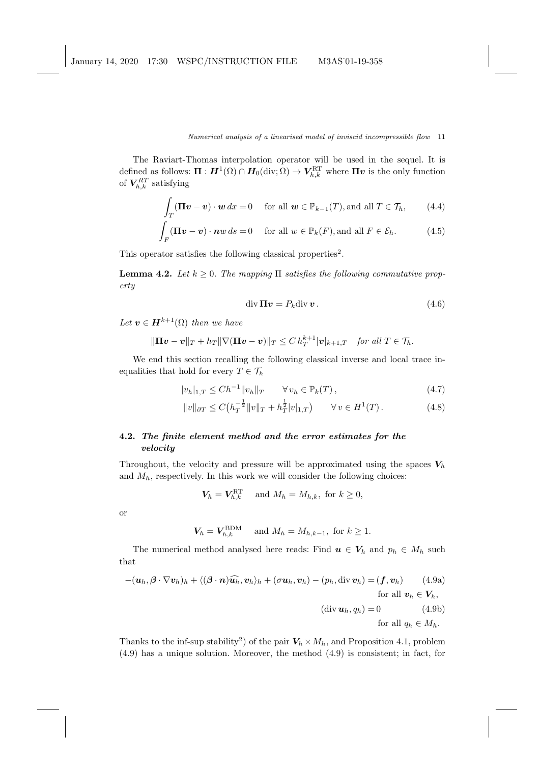The Raviart-Thomas interpolation operator will be used in the sequel. It is defined as follows:  $\Pi : H^1(\Omega) \cap H_0(\text{div}; \Omega) \to V_{h,k}^{\text{RT}}$  where  $\Pi v$  is the only function of  $V_{h,k}^{RT}$  satisfying

$$
\int_{T} (\mathbf{\Pi} \mathbf{v} - \mathbf{v}) \cdot \mathbf{w} \, dx = 0 \quad \text{for all } \mathbf{w} \in \mathbb{P}_{k-1}(T), \text{and all } T \in \mathcal{T}_h,
$$
 (4.4)

$$
\int_{F} (\mathbf{\Pi} \mathbf{v} - \mathbf{v}) \cdot \mathbf{n} w \, ds = 0 \quad \text{for all } w \in \mathbb{P}_k(F), \text{and all } F \in \mathcal{E}_h.
$$
 (4.5)

This operator satisfies the following classical properties<sup>2</sup>.

**Lemma 4.2.** Let  $k \geq 0$ . The mapping  $\Pi$  satisfies the following commutative property

$$
\operatorname{div} \mathbf{\Pi} \mathbf{v} = P_k \operatorname{div} \mathbf{v} \,. \tag{4.6}
$$

Let  $\mathbf{v} \in \mathbf{H}^{k+1}(\Omega)$  then we have

$$
\|\mathbf{\Pi}\mathbf{v}-\mathbf{v}\|_{T}+h_{T}\|\nabla(\mathbf{\Pi}\mathbf{v}-\mathbf{v})\|_{T}\leq C\,h_{T}^{k+1}|\mathbf{v}|_{k+1,T}\quad\text{for all }T\in\mathcal{T}_{h}.
$$

We end this section recalling the following classical inverse and local trace inequalities that hold for every  $T \in \mathcal{T}_h$ 

$$
|v_h|_{1,T} \le Ch^{-1} \|v_h\|_T \qquad \forall \, v_h \in \mathbb{P}_k(T) \,, \tag{4.7}
$$

$$
||v||_{\partial T} \le C\left(h_T^{-\frac{1}{2}}||v||_T + h_T^{\frac{1}{2}}|v|_{1,T}\right) \qquad \forall v \in H^1(T). \tag{4.8}
$$

# 4.2. The finite element method and the error estimates for the velocity

Throughout, the velocity and pressure will be approximated using the spaces  $V_h$ and  $M_h$ , respectively. In this work we will consider the following choices:

$$
V_h = V_{h,k}^{\text{RT}} \quad \text{ and } M_h = M_{h,k}, \text{ for } k \ge 0,
$$

or

$$
V_h = V_{h,k}^{\text{BDM}} \quad \text{ and } M_h = M_{h,k-1}, \text{ for } k \ge 1.
$$

The numerical method analysed here reads: Find  $u \in V_h$  and  $p_h \in M_h$  such that

$$
-(\boldsymbol{u}_h, \boldsymbol{\beta} \cdot \nabla \boldsymbol{v}_h)_h + \langle (\boldsymbol{\beta} \cdot \boldsymbol{n}) \widehat{\boldsymbol{u}_h}, \boldsymbol{v}_h \rangle_h + (\sigma \boldsymbol{u}_h, \boldsymbol{v}_h) - (p_h, \text{div } \boldsymbol{v}_h) = (\boldsymbol{f}, \boldsymbol{v}_h) \qquad (4.9a)
$$
  
for all  $\boldsymbol{v}_h \in \boldsymbol{V}_h$ ,  

$$
(\text{div } \boldsymbol{u}_h, q_h) = 0 \qquad (4.9b)
$$
  
for all  $q_h \in M_h$ .

Thanks to the inf-sup stability<sup>2</sup>) of the pair  $V_h \times M_h$ , and Proposition 4.1, problem (4.9) has a unique solution. Moreover, the method (4.9) is consistent; in fact, for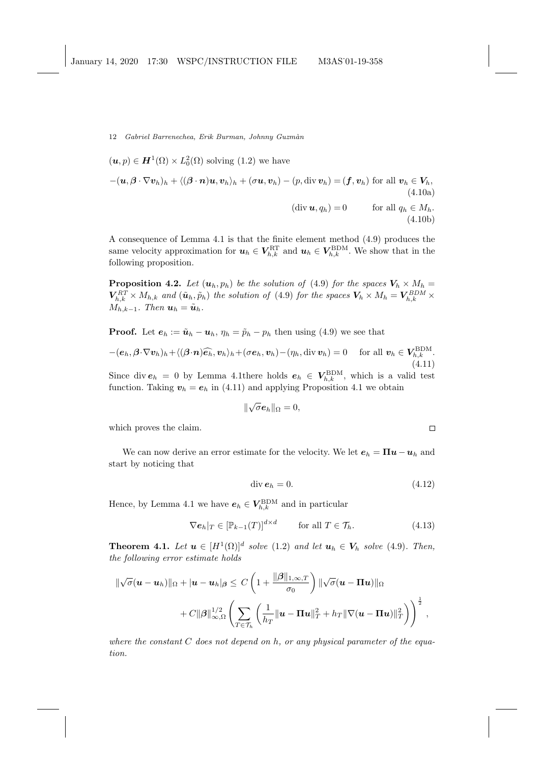$$
(\mathbf{u},p) \in \mathbf{H}^{1}(\Omega) \times L_{0}^{2}(\Omega) \text{ solving (1.2) we have}
$$
  
 
$$
-(\mathbf{u},\boldsymbol{\beta}\cdot\nabla\mathbf{v}_{h})_{h} + \langle(\boldsymbol{\beta}\cdot\mathbf{n})\mathbf{u},\mathbf{v}_{h}\rangle_{h} + (\sigma\mathbf{u},\mathbf{v}_{h}) - (p,\operatorname{div}\mathbf{v}_{h}) = (\mathbf{f},\mathbf{v}_{h}) \text{ for all } \mathbf{v}_{h} \in V_{h},
$$
  
(4.10a)  
(div  $\mathbf{u},q_{h}$ ) = 0 for all  $q_{h} \in M_{h}.$   
(4.10b)

A consequence of Lemma 4.1 is that the finite element method (4.9) produces the same velocity approximation for  $u_h \in V_{h,k}^{\text{RT}}$  and  $u_h \in V_{h,k}^{\text{BDM}}$ . We show that in the following proposition.

**Proposition 4.2.** Let  $(u_h, p_h)$  be the solution of (4.9) for the spaces  $V_h \times M_h =$  $V_{h,k}^{RT} \times M_{h,k}$  and  $(\tilde{u}_h, \tilde{p}_h)$  the solution of (4.9) for the spaces  $V_h \times M_h = V_{h,k}^{BDM} \times$  $M_{h,k-1}$ . Then  $u_h = \tilde{u}_h$ .

**Proof.** Let  $e_h := \tilde{u}_h - u_h$ ,  $\eta_h = \tilde{p}_h - p_h$  then using (4.9) we see that

$$
-(\boldsymbol{e}_h, \boldsymbol{\beta} \cdot \nabla \boldsymbol{v}_h)_h + \langle (\boldsymbol{\beta} \cdot \boldsymbol{n}) \widehat{\boldsymbol{e}_h}, \boldsymbol{v}_h \rangle_h + (\sigma \boldsymbol{e}_h, \boldsymbol{v}_h) - (\eta_h, \text{div } \boldsymbol{v}_h) = 0 \quad \text{ for all } \boldsymbol{v}_h \in \boldsymbol{V}_{h,k}^{\mathrm{BDM}}.
$$
\n(4.11)

Since div  $e_h = 0$  by Lemma 4.1 there holds  $e_h \in V_{h,k}^{\text{BDM}}$ , which is a valid test function. Taking  $v_h = e_h$  in (4.11) and applying Proposition 4.1 we obtain

$$
\|\sqrt{\sigma} \boldsymbol{e}_h\|_{\Omega} = 0,
$$

which proves the claim.

We can now derive an error estimate for the velocity. We let  $e_h = \Pi u - u_h$  and start by noticing that

$$
\operatorname{div} \boldsymbol{e}_h = 0. \tag{4.12}
$$

 $\Box$ 

Hence, by Lemma 4.1 we have  $e_h \in V_{h,k}^{\rm BDM}$  and in particular

$$
\nabla e_h|_T \in [\mathbb{P}_{k-1}(T)]^{d \times d} \qquad \text{for all } T \in \mathcal{T}_h. \tag{4.13}
$$

**Theorem 4.1.** Let  $u \in [H^1(\Omega)]^d$  solve (1.2) and let  $u_h \in V_h$  solve (4.9). Then, the following error estimate holds

$$
\begin{aligned}\n\|\sqrt{\sigma}(\mathbf{u}-\mathbf{u}_h)\|_{\Omega} + |\mathbf{u}-\mathbf{u}_h|_{\beta} &\leq C\left(1 + \frac{\|\beta\|_{1,\infty,T}}{\sigma_0}\right) \|\sqrt{\sigma}(\mathbf{u}-\mathbf{\Pi}\mathbf{u})\|_{\Omega} \\
&+ C\|\beta\|_{\infty,\Omega}^{1/2} \left(\sum_{T\in\mathcal{T}_h} \left(\frac{1}{h_T} \|\mathbf{u}-\mathbf{\Pi}\mathbf{u}\|_{T}^2 + h_T \|\nabla(\mathbf{u}-\mathbf{\Pi}\mathbf{u})\|_{T}^2\right)\right)^{\frac{1}{2}},\n\end{aligned}
$$

where the constant  $C$  does not depend on h, or any physical parameter of the equation.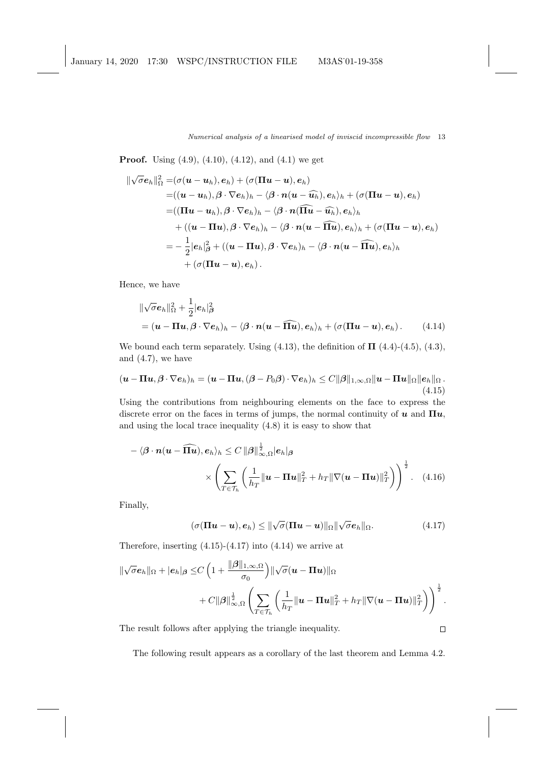**Proof.** Using  $(4.9)$ ,  $(4.10)$ ,  $(4.12)$ , and  $(4.1)$  we get

$$
\begin{aligned} \|\sqrt{\sigma} \boldsymbol{e}_h\|_{\Omega}^2 =& (\sigma(\boldsymbol{u}-\boldsymbol{u}_h),\boldsymbol{e}_h) + (\sigma(\boldsymbol{\Pi}\boldsymbol{u}-\boldsymbol{u}),\boldsymbol{e}_h) \\ =& ((\boldsymbol{u}-\boldsymbol{u}_h),\boldsymbol{\beta}\cdot\nabla \boldsymbol{e}_h)_h - \langle \boldsymbol{\beta}\cdot\boldsymbol{n}(\boldsymbol{u}-\widehat{\boldsymbol{u}_h}),\boldsymbol{e}_h\rangle_h + (\sigma(\boldsymbol{\Pi}\boldsymbol{u}-\boldsymbol{u}),\boldsymbol{e}_h) \\ =& ((\boldsymbol{\Pi}\boldsymbol{u}-\boldsymbol{u}_h),\boldsymbol{\beta}\cdot\nabla \boldsymbol{e}_h)_h - \langle \boldsymbol{\beta}\cdot\boldsymbol{n}(\widehat{\boldsymbol{\Pi} \boldsymbol{u}}-\widehat{\boldsymbol{u}_h}),\boldsymbol{e}_h\rangle_h \\ & + ((\boldsymbol{u}-\boldsymbol{\Pi}\boldsymbol{u}),\boldsymbol{\beta}\cdot\nabla \boldsymbol{e}_h)_h - \langle \boldsymbol{\beta}\cdot\boldsymbol{n}(\boldsymbol{u}-\widehat{\boldsymbol{\Pi} \boldsymbol{u}}),\boldsymbol{e}_h\rangle_h + (\sigma(\boldsymbol{\Pi}\boldsymbol{u}-\boldsymbol{u}),\boldsymbol{e}_h) \\ =& -\frac{1}{2}|\boldsymbol{e}_h|_{\boldsymbol{\beta}}^2 + ((\boldsymbol{u}-\boldsymbol{\Pi}\boldsymbol{u}),\boldsymbol{\beta}\cdot\nabla \boldsymbol{e}_h)_h - \langle \boldsymbol{\beta}\cdot\boldsymbol{n}(\boldsymbol{u}-\widehat{\boldsymbol{\Pi} \boldsymbol{u}}),\boldsymbol{e}_h\rangle_h \\ & + (\sigma(\boldsymbol{\Pi}\boldsymbol{u}-\boldsymbol{u}),\boldsymbol{e}_h).\end{aligned}
$$

Hence, we have

$$
\|\sqrt{\sigma} \mathbf{e}_h\|_{\Omega}^2 + \frac{1}{2} |\mathbf{e}_h|_{\beta}^2
$$
  
=  $(\mathbf{u} - \mathbf{\Pi} \mathbf{u}, \beta \cdot \nabla \mathbf{e}_h)_h - \langle \beta \cdot \mathbf{n} (\mathbf{u} - \widehat{\mathbf{\Pi} \mathbf{u}}), \mathbf{e}_h \rangle_h + (\sigma (\mathbf{\Pi} \mathbf{u} - \mathbf{u}), \mathbf{e}_h).$  (4.14)

We bound each term separately. Using  $(4.13)$ , the definition of  $\Pi$   $(4.4)-(4.5)$ ,  $(4.3)$ , and (4.7), we have

$$
(\boldsymbol{u}-\boldsymbol{\Pi}\boldsymbol{u},\boldsymbol{\beta}\cdot\nabla\boldsymbol{e}_h)_h=(\boldsymbol{u}-\boldsymbol{\Pi}\boldsymbol{u},(\boldsymbol{\beta}-P_0\boldsymbol{\beta})\cdot\nabla\boldsymbol{e}_h)_h\leq C\|\boldsymbol{\beta}\|_{1,\infty,\Omega}\|\boldsymbol{u}-\boldsymbol{\Pi}\boldsymbol{u}\|_{\Omega}\|\boldsymbol{e}_h\|_{\Omega}.
$$
\n(4.15)

Using the contributions from neighbouring elements on the face to express the discrete error on the faces in terms of jumps, the normal continuity of  $u$  and  $\Pi u$ , and using the local trace inequality (4.8) it is easy to show that

$$
-\langle \boldsymbol{\beta} \cdot \boldsymbol{n}(\boldsymbol{u} - \widehat{\mathbf{\Pi u}}), e_h \rangle_h \le C \|\boldsymbol{\beta}\|_{\infty, \Omega}^{\frac{1}{2}} |e_h|_{\boldsymbol{\beta}} \times \left( \sum_{T \in \mathcal{T}_h} \left( \frac{1}{h_T} \|\boldsymbol{u} - \mathbf{\Pi u}\|_T^2 + h_T \|\nabla(\boldsymbol{u} - \mathbf{\Pi u})\|_T^2 \right) \right)^{\frac{1}{2}}. \quad (4.16)
$$

Finally,

$$
(\sigma(\Pi u - u), e_h) \leq \|\sqrt{\sigma}(\Pi u - u)\|_{\Omega}\|\sqrt{\sigma}e_h\|_{\Omega}.
$$
 (4.17)

 $\Box$ 

Therefore, inserting  $(4.15)-(4.17)$  into  $(4.14)$  we arrive at

$$
\begin{aligned}\n\|\sqrt{\sigma} \boldsymbol{e}_h\|_{\Omega} + |\boldsymbol{e}_h|_{\boldsymbol{\beta}} &\leq & C \left(1 + \frac{\|\boldsymbol{\beta}\|_{1,\infty,\Omega}}{\sigma_0}\right) \|\sqrt{\sigma} (\boldsymbol{u} - \boldsymbol{\Pi} \boldsymbol{u})\|_{\Omega} \\
&\quad + C \|\boldsymbol{\beta}\|_{\infty,\Omega}^{\frac{1}{2}} \left( \sum_{T \in \mathcal{T}_h} \left( \frac{1}{h_T} \|\boldsymbol{u} - \boldsymbol{\Pi} \boldsymbol{u}\|_T^2 + h_T \|\nabla (\boldsymbol{u} - \boldsymbol{\Pi} \boldsymbol{u})\|_T^2 \right) \right)^{\frac{1}{2}}.\n\end{aligned}
$$

The result follows after applying the triangle inequality.

The following result appears as a corollary of the last theorem and Lemma 4.2.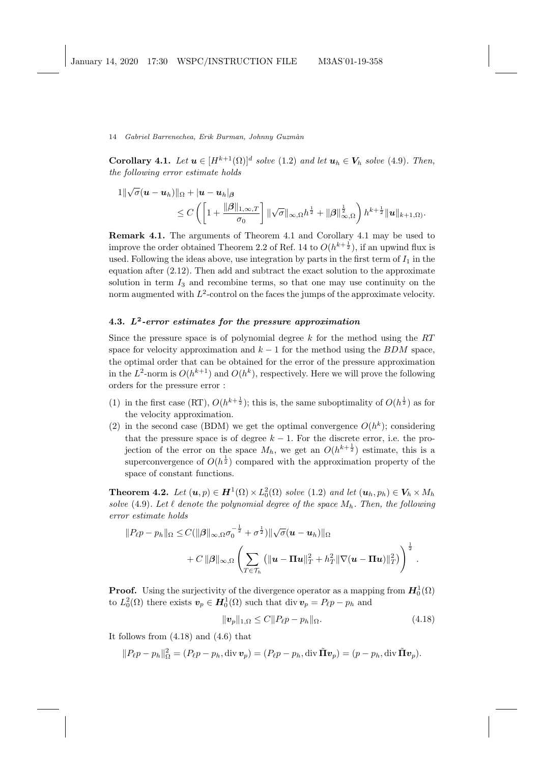**Corollary 4.1.** Let  $u \in [H^{k+1}(\Omega)]^d$  solve  $(1.2)$  and let  $u_h \in V_h$  solve  $(4.9)$ . Then, the following error estimate holds

$$
\begin{aligned}\n1\|\sqrt{\sigma}(\boldsymbol{u}-\boldsymbol{u}_h)\|_{\Omega} &+ |\boldsymbol{u}-\boldsymbol{u}_h|_{\boldsymbol{\beta}} \\
&\leq C\left(\left[1+\frac{\|\boldsymbol{\beta}\|_{1,\infty,T}}{\sigma_0}\right]\|\sqrt{\sigma}\|_{\infty,\Omega}h^{\frac{1}{2}}+\|\boldsymbol{\beta}\|_{\infty,\Omega}^{\frac{1}{2}}\right)h^{k+\frac{1}{2}}\|\boldsymbol{u}\|_{k+1,\Omega}.\n\end{aligned}
$$

Remark 4.1. The arguments of Theorem 4.1 and Corollary 4.1 may be used to improve the order obtained Theorem 2.2 of Ref. 14 to  $O(h^{k+\frac{1}{2}})$ , if an upwind flux is used. Following the ideas above, use integration by parts in the first term of  $I_1$  in the equation after (2.12). Then add and subtract the exact solution to the approximate solution in term  $I_3$  and recombine terms, so that one may use continuity on the norm augmented with  $L^2$ -control on the faces the jumps of the approximate velocity.

# 4.3.  $L^2$ -error estimates for the pressure approximation

Since the pressure space is of polynomial degree  $k$  for the method using the  $RT$ space for velocity approximation and  $k - 1$  for the method using the BDM space, the optimal order that can be obtained for the error of the pressure approximation in the  $L^2$ -norm is  $O(h^{k+1})$  and  $O(h^k)$ , respectively. Here we will prove the following orders for the pressure error :

- (1) in the first case (RT),  $O(h^{k+\frac{1}{2}})$ ; this is, the same suboptimality of  $O(h^{\frac{1}{2}})$  as for the velocity approximation.
- (2) in the second case (BDM) we get the optimal convergence  $O(h^k)$ ; considering that the pressure space is of degree  $k - 1$ . For the discrete error, i.e. the projection of the error on the space  $M_h$ , we get an  $O(h^{k+\frac{1}{2}})$  estimate, this is a superconvergence of  $O(h^{\frac{1}{2}})$  compared with the approximation property of the space of constant functions.

**Theorem 4.2.** Let  $(u, p) \in H^1(\Omega) \times L_0^2(\Omega)$  solve (1.2) and let  $(u_h, p_h) \in V_h \times M_h$ solve (4.9). Let  $\ell$  denote the polynomial degree of the space  $M_h$ . Then, the following error estimate holds

$$
||P_{\ell}p - p_h||_{\Omega} \leq C(||\beta||_{\infty,\Omega}\sigma_0^{-\frac{1}{2}} + \sigma^{\frac{1}{2}})||\sqrt{\sigma}(\boldsymbol{u} - \boldsymbol{u}_h)||_{\Omega} + C||\beta||_{\infty,\Omega} \left(\sum_{T \in \mathcal{T}_h} (||\boldsymbol{u} - \boldsymbol{\Pi}\boldsymbol{u}||_T^2 + h_T^2||\nabla(\boldsymbol{u} - \boldsymbol{\Pi}\boldsymbol{u})||_T^2)\right)^{\frac{1}{2}}.
$$

**Proof.** Using the surjectivity of the divergence operator as a mapping from  $H_0^1(\Omega)$ to  $L_0^2(\Omega)$  there exists  $\mathbf{v}_p \in \mathbf{H}_0^1(\Omega)$  such that div  $\mathbf{v}_p = P_{\ell}p - p_h$  and

$$
\|\mathbf{v}_p\|_{1,\Omega} \le C \|P_\ell p - p_h\|_{\Omega}.\tag{4.18}
$$

It follows from (4.18) and (4.6) that

$$
||P_{\ell}p - p_h||_{\Omega}^2 = (P_{\ell}p - p_h, \text{div}\,\mathbf{v}_p) = (P_{\ell}p - p_h, \text{div}\,\widetilde{\mathbf{\Pi}}\mathbf{v}_p) = (p - p_h, \text{div}\,\widetilde{\mathbf{\Pi}}\mathbf{v}_p).
$$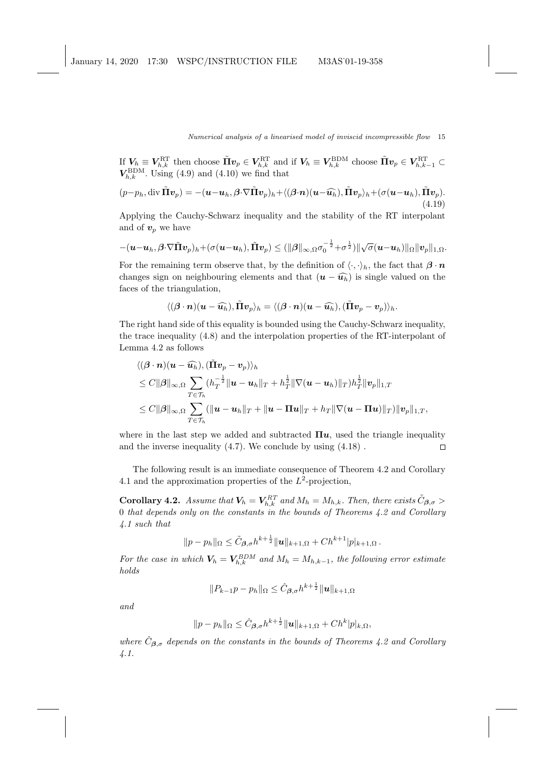If  $V_h \equiv V_{h,k}^{\text{RT}}$  then choose  $\tilde{\Pi} v_p \in V_{h,k}^{\text{RT}}$  and if  $V_h \equiv V_{h,k}^{\text{BDM}}$  choose  $\tilde{\Pi} v_p \in V_{h,k-1}^{\text{RT}}$  $V_{h,k}^{\text{BDM}}$ . Using (4.9) and (4.10) we find that

$$
(p-p_h, \operatorname{div} \tilde{\mathbf{\Pi}} \mathbf{v}_p) = -(\mathbf{u} - \mathbf{u}_h, \boldsymbol{\beta} \cdot \nabla \tilde{\mathbf{\Pi}} \mathbf{v}_p)_h + \langle (\boldsymbol{\beta} \cdot \mathbf{n})(\mathbf{u} - \widehat{\mathbf{u}_h}), \tilde{\mathbf{\Pi}} \mathbf{v}_p \rangle_h + (\sigma(\mathbf{u} - \mathbf{u}_h), \tilde{\mathbf{\Pi}} \mathbf{v}_p).
$$
\n(4.19)

Applying the Cauchy-Schwarz inequality and the stability of the RT interpolant and of  $v_p$  we have

$$
-(\boldsymbol{u}-\boldsymbol{u}_h,\boldsymbol{\beta}\cdot\nabla\tilde{\boldsymbol{\Pi}}\boldsymbol{v}_p)_h+(\sigma(\boldsymbol{u}-\boldsymbol{u}_h),\tilde{\boldsymbol{\Pi}}\boldsymbol{v}_p)\leq(\|\boldsymbol{\beta}\|_{\infty,\Omega}\sigma_0^{-\frac{1}{2}}+\sigma^{\frac{1}{2}})\|\sqrt{\sigma}(\boldsymbol{u}-\boldsymbol{u}_h)\|_{\Omega}\|\boldsymbol{v}_p\|_{1,\Omega}.
$$

For the remaining term observe that, by the definition of  $\langle \cdot, \cdot \rangle_h$ , the fact that  $\beta \cdot n$ changes sign on neighbouring elements and that  $(u - \widehat{u_h})$  is single valued on the faces of the triangulation,

$$
\langle (\boldsymbol{\beta}\cdot\boldsymbol{n})(\boldsymbol{u}-\widehat{\boldsymbol{u}_h}),\tilde{\Pi}\boldsymbol{v}_p\rangle_h=\langle (\boldsymbol{\beta}\cdot\boldsymbol{n})(\boldsymbol{u}-\widehat{\boldsymbol{u}_h}),(\tilde{\Pi}\boldsymbol{v}_p-\boldsymbol{v}_p)\rangle_h.
$$

The right hand side of this equality is bounded using the Cauchy-Schwarz inequality, the trace inequality (4.8) and the interpolation properties of the RT-interpolant of Lemma 4.2 as follows

$$
\langle (\boldsymbol{\beta} \cdot \boldsymbol{n}) (\boldsymbol{u} - \widehat{\boldsymbol{u}_h}), (\tilde{\Pi} \boldsymbol{v}_p - \boldsymbol{v}_p) \rangle_h
$$
  
\n
$$
\leq C \|\boldsymbol{\beta}\|_{\infty,\Omega} \sum_{T \in \mathcal{T}_h} (h_T^{-\frac{1}{2}} \|\boldsymbol{u} - \boldsymbol{u}_h\|_T + h_T^{\frac{1}{2}} \|\nabla (\boldsymbol{u} - \boldsymbol{u}_h)\|_T) h_T^{\frac{1}{2}} \|\boldsymbol{v}_p\|_{1,T}
$$
  
\n
$$
\leq C \|\boldsymbol{\beta}\|_{\infty,\Omega} \sum_{T \in \mathcal{T}_h} (\|\boldsymbol{u} - \boldsymbol{u}_h\|_T + \|\boldsymbol{u} - \Pi \boldsymbol{u}\|_T + h_T \|\nabla (\boldsymbol{u} - \Pi \boldsymbol{u})\|_T) \|\boldsymbol{v}_p\|_{1,T},
$$

where in the last step we added and subtracted  $\Pi u$ , used the triangle inequality and the inverse inequality (4.7). We conclude by using (4.18) .  $\Box$ 

The following result is an immediate consequence of Theorem 4.2 and Corollary 4.1 and the approximation properties of the  $L^2$ -projection,

**Corollary 4.2.** Assume that  $V_h = V_{h,k}^{RT}$  and  $M_h = M_{h,k}$ . Then, there exists  $\tilde{C}_{\boldsymbol{\beta},\sigma}$  > 0 that depends only on the constants in the bounds of Theorems 4.2 and Corollary 4.1 such that

$$
||p - p_h||_{\Omega} \leq \tilde{C}_{\beta, \sigma} h^{k + \frac{1}{2}} ||u||_{k+1, \Omega} + Ch^{k+1} |p|_{k+1, \Omega}.
$$

For the case in which  $V_h = V_{h,k}^{BDM}$  and  $M_h = M_{h,k-1}$ , the following error estimate holds

$$
||P_{k-1}p - p_h||_{\Omega} \leq \hat{C}_{\boldsymbol{\beta},\sigma} h^{k+\frac{1}{2}} ||u||_{k+1,\Omega}
$$

and

$$
||p - p_h||_{\Omega} \leq \hat{C}_{\boldsymbol{\beta},\sigma} h^{k + \frac{1}{2}} ||\boldsymbol{u}||_{k+1,\Omega} + Ch^k |p|_{k,\Omega},
$$

where  $\hat{C}_{\beta,\sigma}$  depends on the constants in the bounds of Theorems 4.2 and Corollary 4.1.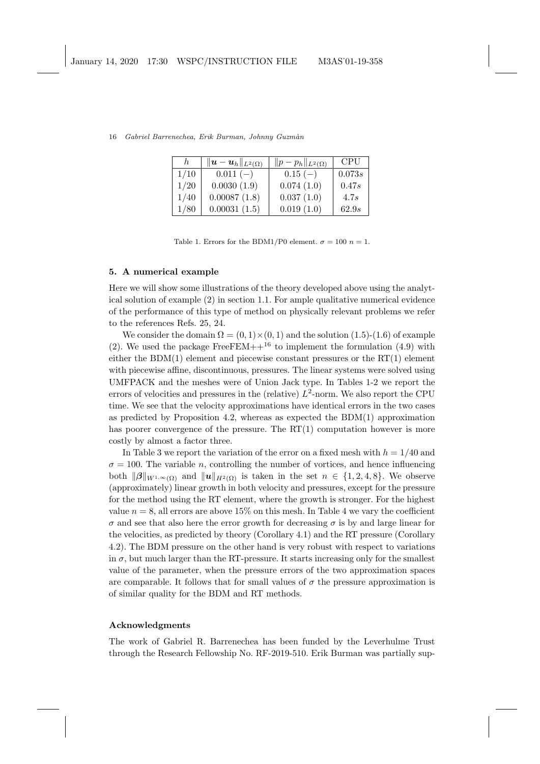| $\hbar$ | $\ \boldsymbol{u}-\boldsymbol{u}_h\ _{L^2(\Omega)}$ | $  p-p_h  _{L^2(\Omega)}$ | <b>CPU</b> |
|---------|-----------------------------------------------------|---------------------------|------------|
| 1/10    | $0.011(-)$                                          | $0.15(-)$                 | 0.073s     |
| 1/20    | 0.0030(1.9)                                         | 0.074(1.0)                | 0.47s      |
| 1/40    | 0.00087(1.8)                                        | 0.037(1.0)                | 4.7s       |
| 1/80    | 0.00031(1.5)                                        | 0.019(1.0)                | 62.9s      |

16 Gabriel Barrenechea, Erik Burman, Johnny Guzmàn

Table 1. Errors for the BDM1/P0 element.  $\sigma = 100$   $n = 1$ .

## 5. A numerical example

Here we will show some illustrations of the theory developed above using the analytical solution of example (2) in section 1.1. For ample qualitative numerical evidence of the performance of this type of method on physically relevant problems we refer to the references Refs. 25, 24.

We consider the domain  $\Omega = (0,1) \times (0,1)$  and the solution (1.5)-(1.6) of example (2). We used the package FreeFEM++<sup>16</sup> to implement the formulation (4.9) with either the BDM(1) element and piecewise constant pressures or the  $RT(1)$  element with piecewise affine, discontinuous, pressures. The linear systems were solved using UMFPACK and the meshes were of Union Jack type. In Tables 1-2 we report the errors of velocities and pressures in the (relative)  $L^2$ -norm. We also report the CPU time. We see that the velocity approximations have identical errors in the two cases as predicted by Proposition 4.2, whereas as expected the BDM(1) approximation has poorer convergence of the pressure. The  $RT(1)$  computation however is more costly by almost a factor three.

In Table 3 we report the variation of the error on a fixed mesh with  $h = 1/40$  and  $\sigma = 100$ . The variable n, controlling the number of vortices, and hence influencing both  $\|\beta\|_{W^{1,\infty}(\Omega)}$  and  $\|u\|_{H^2(\Omega)}$  is taken in the set  $n \in \{1,2,4,8\}$ . We observe (approximately) linear growth in both velocity and pressures, except for the pressure for the method using the RT element, where the growth is stronger. For the highest value  $n = 8$ , all errors are above 15% on this mesh. In Table 4 we vary the coefficient σ and see that also here the error growth for decreasing σ is by and large linear for the velocities, as predicted by theory (Corollary 4.1) and the RT pressure (Corollary 4.2). The BDM pressure on the other hand is very robust with respect to variations in  $\sigma$ , but much larger than the RT-pressure. It starts increasing only for the smallest value of the parameter, when the pressure errors of the two approximation spaces are comparable. It follows that for small values of  $\sigma$  the pressure approximation is of similar quality for the BDM and RT methods.

### Acknowledgments

The work of Gabriel R. Barrenechea has been funded by the Leverhulme Trust through the Research Fellowship No. RF-2019-510. Erik Burman was partially sup-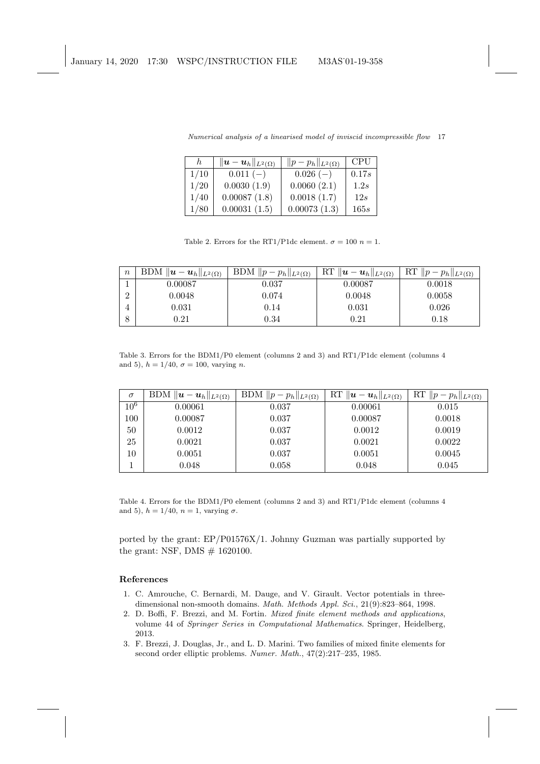| $\hbar$ | $\ \boldsymbol{u}-\boldsymbol{u}_h\ _{L^2(\Omega)}$ | $  p-p_h  _{L^2(\Omega)}$ | <b>CPU</b> |
|---------|-----------------------------------------------------|---------------------------|------------|
| 1/10    | $0.011(-)$                                          | $0.026(-)$                | 0.17s      |
| 1/20    | 0.0030(1.9)                                         | 0.0060(2.1)               | 1.2s       |
| 1/40    | 0.00087(1.8)                                        | 0.0018(1.7)               | 12s        |
| 1/80    | 0.00031(1.5)                                        | 0.00073(1.3)              | 165s       |

Numerical analysis of a linearised model of inviscid incompressible flow 17

Table 2. Errors for the RT1/P1dc element.  $\sigma = 100$   $n = 1$ .

| $\boldsymbol{n}$ | BDM $\ \boldsymbol{u}-\boldsymbol{u}_h\ _{L^2(\Omega)}$ | BDM $  p-p_h  _{L^2(\Omega)}$ | $\ {\rm RT}\;\ \pmb{u}-\pmb{u}_h\ _{L^2(\Omega)}$ | $\ R\ $ $\ p-p_h\ _{L^2(\Omega)}$ |
|------------------|---------------------------------------------------------|-------------------------------|---------------------------------------------------|-----------------------------------|
|                  | 0.00087                                                 | 0.037                         | 0.00087                                           | 0.0018                            |
|                  | 0.0048                                                  | 0.074                         | 0.0048                                            | 0.0058                            |
|                  | 0.031                                                   | 0.14                          | 0.031                                             | 0.026                             |
|                  | $\rm 0.21$                                              | 0.34                          | 0.21                                              | $0.18\,$                          |

Table 3. Errors for the BDM1/P0 element (columns 2 and 3) and RT1/P1dc element (columns 4 and 5),  $h = 1/40$ ,  $\sigma = 100$ , varying *n*.

| $\sigma$ | BDM $\ \boldsymbol{u}-\boldsymbol{u}_h\ _{L^2(\Omega)}$ | BDM $  p-p_h  _{L^2(\Omega)}$ | RT $\ \boldsymbol{u}-\boldsymbol{u}_h\ _{L^2(\Omega)}$ | RT $  p-p_h  _{L^2(\Omega)}$ |
|----------|---------------------------------------------------------|-------------------------------|--------------------------------------------------------|------------------------------|
| $10^6$   | 0.00061                                                 | 0.037                         | 0.00061                                                | 0.015                        |
| 100      | 0.00087                                                 | 0.037                         | 0.00087                                                | 0.0018                       |
| 50       | 0.0012                                                  | 0.037                         | 0.0012                                                 | 0.0019                       |
| 25       | 0.0021                                                  | 0.037                         | 0.0021                                                 | 0.0022                       |
| 10       | 0.0051                                                  | 0.037                         | 0.0051                                                 | 0.0045                       |
|          | 0.048                                                   | 0.058                         | 0.048                                                  | 0.045                        |

Table 4. Errors for the BDM1/P0 element (columns 2 and 3) and RT1/P1dc element (columns 4 and 5),  $h = 1/40$ ,  $n = 1$ , varying  $\sigma$ .

ported by the grant: EP/P01576X/1. Johnny Guzman was partially supported by the grant: NSF, DMS  $\#$  1620100.

## References

- 1. C. Amrouche, C. Bernardi, M. Dauge, and V. Girault. Vector potentials in threedimensional non-smooth domains. Math. Methods Appl. Sci., 21(9):823–864, 1998.
- 2. D. Boffi, F. Brezzi, and M. Fortin. Mixed finite element methods and applications, volume 44 of Springer Series in Computational Mathematics. Springer, Heidelberg, 2013.
- 3. F. Brezzi, J. Douglas, Jr., and L. D. Marini. Two families of mixed finite elements for second order elliptic problems. Numer. Math., 47(2):217–235, 1985.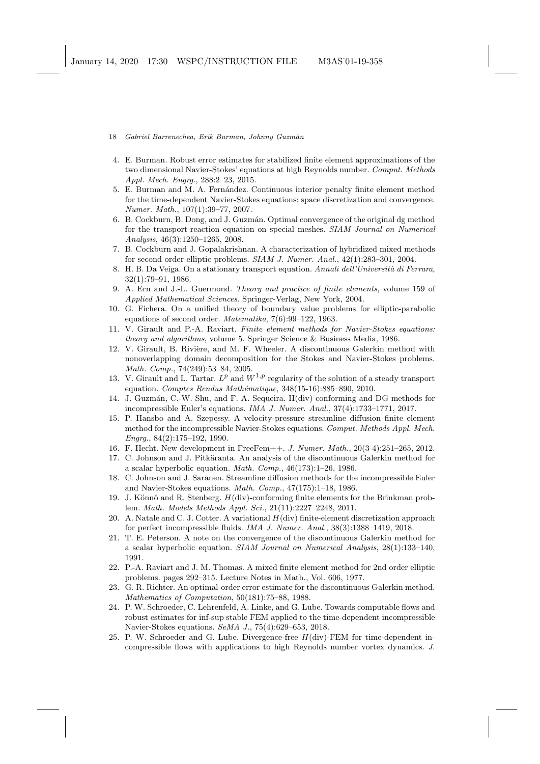- 18 Gabriel Barrenechea, Erik Burman, Johnny Guzmàn
- 4. E. Burman. Robust error estimates for stabilized finite element approximations of the two dimensional Navier-Stokes' equations at high Reynolds number. Comput. Methods Appl. Mech. Engrg., 288:2–23, 2015.
- 5. E. Burman and M. A. Fernández. Continuous interior penalty finite element method for the time-dependent Navier-Stokes equations: space discretization and convergence. Numer. Math., 107(1):39–77, 2007.
- 6. B. Cockburn, B. Dong, and J. Guzm´an. Optimal convergence of the original dg method for the transport-reaction equation on special meshes. SIAM Journal on Numerical Analysis, 46(3):1250–1265, 2008.
- 7. B. Cockburn and J. Gopalakrishnan. A characterization of hybridized mixed methods for second order elliptic problems. SIAM J. Numer. Anal., 42(1):283–301, 2004.
- 8. H. B. Da Veiga. On a stationary transport equation. Annali dell'Università di Ferrara, 32(1):79–91, 1986.
- 9. A. Ern and J.-L. Guermond. Theory and practice of finite elements, volume 159 of Applied Mathematical Sciences. Springer-Verlag, New York, 2004.
- 10. G. Fichera. On a unified theory of boundary value problems for elliptic-parabolic equations of second order. Matematika, 7(6):99–122, 1963.
- 11. V. Girault and P.-A. Raviart. Finite element methods for Navier-Stokes equations: theory and algorithms, volume 5. Springer Science & Business Media, 1986.
- 12. V. Girault, B. Rivière, and M. F. Wheeler. A discontinuous Galerkin method with nonoverlapping domain decomposition for the Stokes and Navier-Stokes problems. Math. Comp., 74(249):53–84, 2005.
- 13. V. Girault and L. Tartar.  $L^p$  and  $W^{1,p}$  regularity of the solution of a steady transport equation. Comptes Rendus Mathématique, 348(15-16):885–890, 2010.
- 14. J. Guzm´an, C.-W. Shu, and F. A. Sequeira. H(div) conforming and DG methods for incompressible Euler's equations. IMA J. Numer. Anal., 37(4):1733–1771, 2017.
- 15. P. Hansbo and A. Szepessy. A velocity-pressure streamline diffusion finite element method for the incompressible Navier-Stokes equations. Comput. Methods Appl. Mech. Engrg., 84(2):175–192, 1990.
- 16. F. Hecht. New development in FreeFem++. J. Numer. Math., 20(3-4):251–265, 2012.
- 17. C. Johnson and J. Pitk¨aranta. An analysis of the discontinuous Galerkin method for a scalar hyperbolic equation. Math. Comp., 46(173):1–26, 1986.
- 18. C. Johnson and J. Saranen. Streamline diffusion methods for the incompressible Euler and Navier-Stokes equations. Math. Comp., 47(175):1–18, 1986.
- 19. J. Könnö and R. Stenberg.  $H(\text{div})$ -conforming finite elements for the Brinkman problem. Math. Models Methods Appl. Sci., 21(11):2227–2248, 2011.
- 20. A. Natale and C. J. Cotter. A variational  $H(\text{div})$  finite-element discretization approach for perfect incompressible fluids. IMA J. Numer. Anal., 38(3):1388–1419, 2018.
- 21. T. E. Peterson. A note on the convergence of the discontinuous Galerkin method for a scalar hyperbolic equation. SIAM Journal on Numerical Analysis, 28(1):133–140, 1991.
- 22. P.-A. Raviart and J. M. Thomas. A mixed finite element method for 2nd order elliptic problems. pages 292–315. Lecture Notes in Math., Vol. 606, 1977.
- 23. G. R. Richter. An optimal-order error estimate for the discontinuous Galerkin method. Mathematics of Computation, 50(181):75–88, 1988.
- 24. P. W. Schroeder, C. Lehrenfeld, A. Linke, and G. Lube. Towards computable flows and robust estimates for inf-sup stable FEM applied to the time-dependent incompressible Navier-Stokes equations. SeMA J., 75(4):629–653, 2018.
- 25. P. W. Schroeder and G. Lube. Divergence-free H(div)-FEM for time-dependent incompressible flows with applications to high Reynolds number vortex dynamics. J.